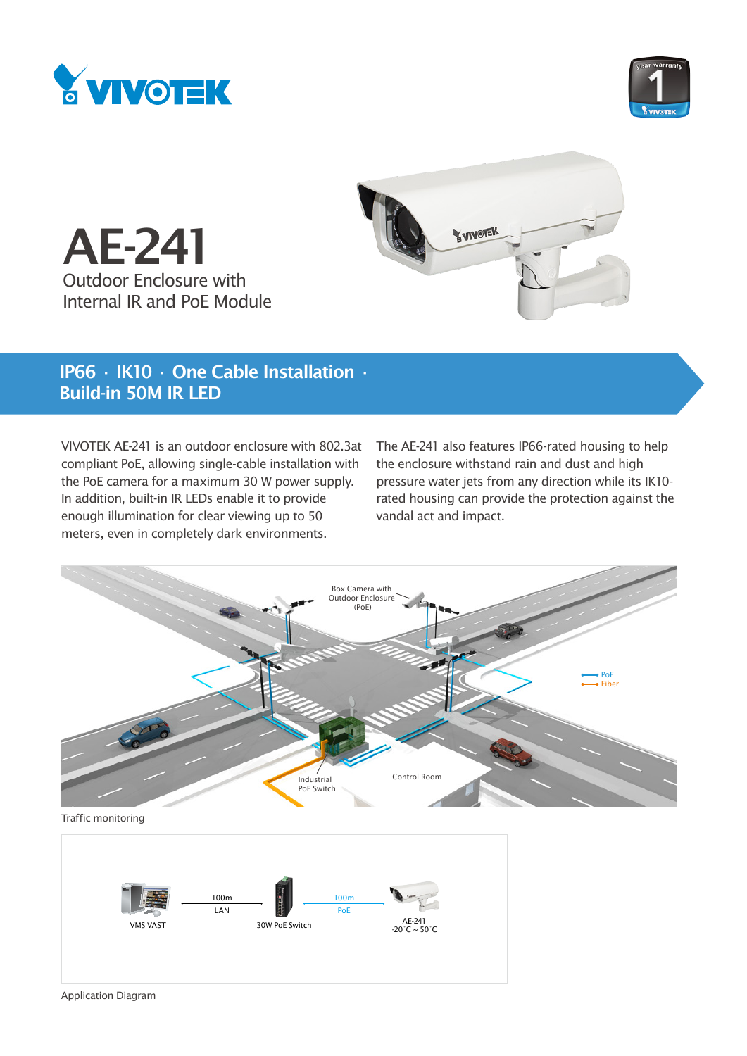



AE-241 Outdoor Enclosure with Internal IR and PoE Module



# IP66 ∙ IK10 ∙ One Cable Installation ∙ Build-in 50M IR LED

VIVOTEK AE-241 is an outdoor enclosure with 802.3at compliant PoE, allowing single-cable installation with the PoE camera for a maximum 30 W power supply. In addition, built-in IR LEDs enable it to provide enough illumination for clear viewing up to 50 meters, even in completely dark environments.

The AE-241 also features IP66-rated housing to help the enclosure withstand rain and dust and high pressure water jets from any direction while its IK10 rated housing can provide the protection against the vandal act and impact.



Traffic monitoring